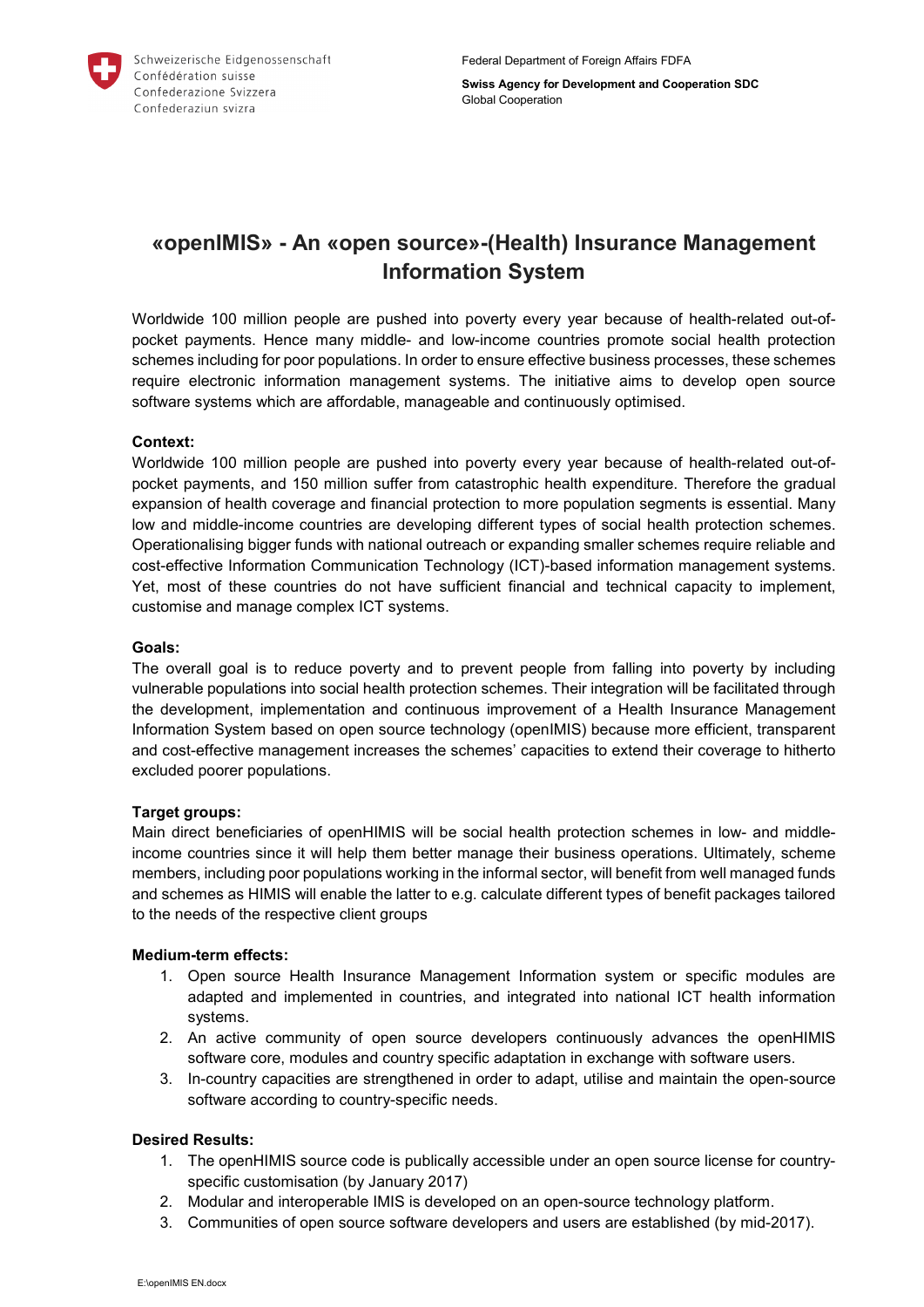

**Swiss Agency for Development and Cooperation SDC** Global Cooperation

# **«openIMIS» - An «open source»-(Health) Insurance Management Information System**

Worldwide 100 million people are pushed into poverty every year because of health-related out-ofpocket payments. Hence many middle- and low-income countries promote social health protection schemes including for poor populations. In order to ensure effective business processes, these schemes require electronic information management systems. The initiative aims to develop open source software systems which are affordable, manageable and continuously optimised.

## **Context:**

Worldwide 100 million people are pushed into poverty every year because of health-related out-ofpocket payments, and 150 million suffer from catastrophic health expenditure. Therefore the gradual expansion of health coverage and financial protection to more population segments is essential. Many low and middle-income countries are developing different types of social health protection schemes. Operationalising bigger funds with national outreach or expanding smaller schemes require reliable and cost-effective Information Communication Technology (ICT)-based information management systems. Yet, most of these countries do not have sufficient financial and technical capacity to implement, customise and manage complex ICT systems.

## **Goals:**

The overall goal is to reduce poverty and to prevent people from falling into poverty by including vulnerable populations into social health protection schemes. Their integration will be facilitated through the development, implementation and continuous improvement of a Health Insurance Management Information System based on open source technology (openIMIS) because more efficient, transparent and cost-effective management increases the schemes' capacities to extend their coverage to hitherto excluded poorer populations.

#### **Target groups:**

Main direct beneficiaries of openHIMIS will be social health protection schemes in low- and middleincome countries since it will help them better manage their business operations. Ultimately, scheme members, including poor populations working in the informal sector, will benefit from well managed funds and schemes as HIMIS will enable the latter to e.g. calculate different types of benefit packages tailored to the needs of the respective client groups

#### **Medium-term effects:**

- 1. Open source Health Insurance Management Information system or specific modules are adapted and implemented in countries, and integrated into national ICT health information systems.
- 2. An active community of open source developers continuously advances the openHIMIS software core, modules and country specific adaptation in exchange with software users.
- 3. In-country capacities are strengthened in order to adapt, utilise and maintain the open-source software according to country-specific needs.

#### **Desired Results:**

- 1. The openHIMIS source code is publically accessible under an open source license for countryspecific customisation (by January 2017)
- 2. Modular and interoperable IMIS is developed on an open-source technology platform.
- 3. Communities of open source software developers and users are established (by mid-2017).